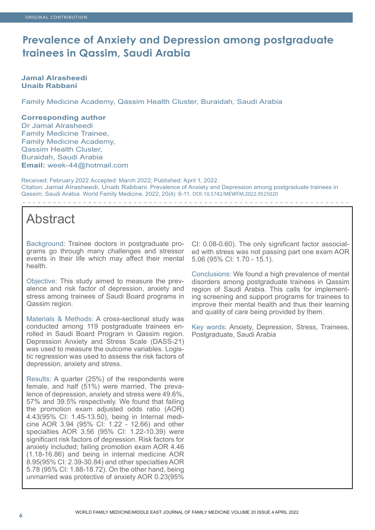## **Prevalence of Anxiety and Depression among postgraduate trainees in Qassim, Saudi Arabia**

## **Jamal Alrasheedi Unaib Rabbani**

Family Medicine Academy, Qassim Health Cluster, Buraidah, Saudi Arabia

## **Corresponding author**

Dr Jamal Alrasheedi Family Medicine Trainee, Family Medicine Academy, Qassim Health Cluster, Buraidah, Saudi Arabia **Email:** week-44@hotmail.com

Received: February 2022 Accepted: March 2022; Published: April 1, 2022. Citation: Jamal Alrasheedi, Unaib Rabbani. Prevalence of Anxiety and Depression among postgraduate trainees in Qassim, Saudi Arabia. World Family Medicine. 2022; 20(4): 6-11. DOI: 10.5742/MEWFM.2022.9525020

# Abstract

Background: Trainee doctors in postgraduate programs go through many challenges and stressor events in their life which may affect their mental health.

Objective: This study aimed to measure the prevalence and risk factor of depression, anxiety and stress among trainees of Saudi Board programs in Qassim region.

Materials & Methods: A cross-sectional study was conducted among 119 postgraduate trainees enrolled in Saudi Board Program in Qassim region. Depression Anxiety and Stress Scale (DASS-21) was used to measure the outcome variables. Logistic regression was used to assess the risk factors of depression, anxiety and stress.

Results: A quarter (25%) of the respondents were female, and half (51%) were married. The prevalence of depression, anxiety and stress were 49.6%, 57% and 39.5% respectively. We found that failing the promotion exam adjusted odds ratio (AOR) 4.43(95% CI: 1.45-13.50), being in Internal medicine AOR 3.94 (95% CI: 1.22 - 12.66) and other specialties AOR 3.56 (95% CI: 1.22-10.39) were significant risk factors of depression. Risk factors for anxiety included; failing promotion exam AOR 4.46 (1.18-16.86) and being in internal medicine AOR 8.95(95% CI: 2.39-30.84) and other specialties AOR 5.78 (95% CI: 1.88-18.72). On the other hand, being unmarried was protective of anxiety AOR 0.23(95%

CI: 0.08-0.60). The only significant factor associated with stress was not passing part one exam AOR 5.06 (95% CI: 1.70 - 15.1).

Conclusions: We found a high prevalence of mental disorders among postgraduate trainees in Qassim region of Saudi Arabia. This calls for implementing screening and support programs for trainees to improve their mental health and thus their learning and quality of care being provided by them.

Key words: Anxiety, Depression, Stress, Trainees, Postgraduate, Saudi Arabia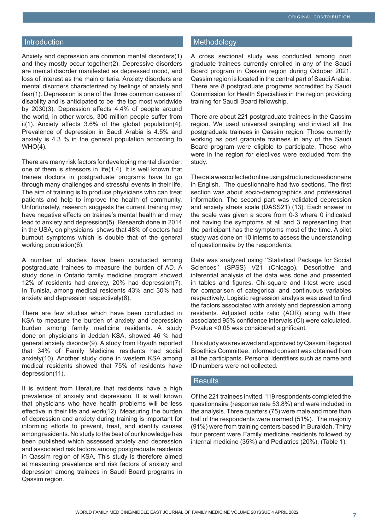## **Introduction**

Anxiety and depression are common mental disorders(1) and they mostly occur together(2). Depressive disorders are mental disorder manifested as depressed mood, and loss of interest as the main criteria. Anxiety disorders are mental disorders characterized by feelings of anxiety and fear(1). Depression is one of the three common causes of disability and is anticipated to be the top most worldwide by 2030(3). Depression affects 4.4% of people around the world, in other words, 300 million people suffer from it(1). Anxiety affects 3.6% of the global population(4). Prevalence of depression in Saudi Arabia is 4.5% and anxiety is 4.3 % in the general population according to WHO(4).

There are many risk factors for developing mental disorder; one of them is stressors in life(1,4). It is well known that trainee doctors in postgraduate programs have to go through many challenges and stressful events in their life. The aim of training is to produce physicians who can treat patients and help to improve the health of community. Unfortunately, research suggests the current training may have negative effects on trainee's mental health and may lead to anxiety and depression(5). Research done in 2014 in the USA, on physicians shows that 48% of doctors had burnout symptoms which is double that of the general working population(6).

A number of studies have been conducted among postgraduate trainees to measure the burden of AD. A study done in Ontario family medicine program showed 12% of residents had anxiety, 20% had depression(7). In Tunisia, among medical residents 43% and 30% had anxiety and depression respectively(8).

There are few studies which have been conducted in KSA to measure the burden of anxiety and depression burden among family medicine residents. A study done on physicians in Jeddah KSA, showed 46 % had general anxiety disorder(9). A study from Riyadh reported that 34% of Family Medicine residents had social anxiety(10). Another study done in western KSA among medical residents showed that 75% of residents have depression(11).

It is evident from literature that residents have a high prevalence of anxiety and depression. It is well known that physicians who have health problems will be less effective in their life and work(12). Measuring the burden of depression and anxiety during training is important for informing efforts to prevent, treat, and identify causes among residents. No study to the best of our knowledge has been published which assessed anxiety and depression and associated risk factors among postgraduate residents in Qassim region of KSA. This study is therefore aimed at measuring prevalence and risk factors of anxiety and depression among trainees in Saudi Board programs in Qassim region.

#### **Methodology**

A cross sectional study was conducted among post graduate trainees currently enrolled in any of the Saudi Board program in Qassim region during October 2021. Qassim region is located in the central part of Saudi Arabia. There are 8 postgraduate programs accredited by Saudi Commission for Health Specialties in the region providing training for Saudi Board fellowship.

There are about 221 postgraduate trainees in the Qassim region. We used universal sampling and invited all the postgraduate trainees in Qassim region. Those currently working as post graduate trainees in any of the Saudi Board program were eligible to participate. Those who were in the region for electives were excluded from the study.

The data was collected online using structured questionnaire in English. The questionnaire had two sections. The first section was about socio-demographics and professional information. The second part was validated depression and anxiety stress scale (DASS21) (13). Each answer in the scale was given a score from 0-3 where 0 indicated not having the symptoms at all and 3 representing that the participant has the symptoms most of the time. A pilot study was done on 10 interns to assess the understanding of questionnaire by the respondents.

Data was analyzed using ''Statistical Package for Social Sciences" (SPSS) V21 (Chicago). Descriptive and inferential analysis of the data was done and presented in tables and figures. Chi-square and t-test were used for comparison of categorical and continuous variables respectively. Logistic regression analysis was used to find the factors associated with anxiety and depression among residents. Adjusted odds ratio (AOR) along with their associated 95% confidence intervals (CI) were calculated. P-value <0.05 was considered significant.

This study was reviewed and approved by Qassim Regional Bioethics Committee. Informed consent was obtained from all the participants. Personal identifiers such as name and ID numbers were not collected.

#### Results

Of the 221 trainees invited, 119 respondents completed the questionnaire (response rate 53.8%) and were included in the analysis. Three quarters (75) were male and more than half of the respondents were married (51%). The majority (91%) were from training centers based in Buraidah. Thirty four percent were Family medicine residents followed by internal medicine (35%) and Pediatrics (20%). (Table 1),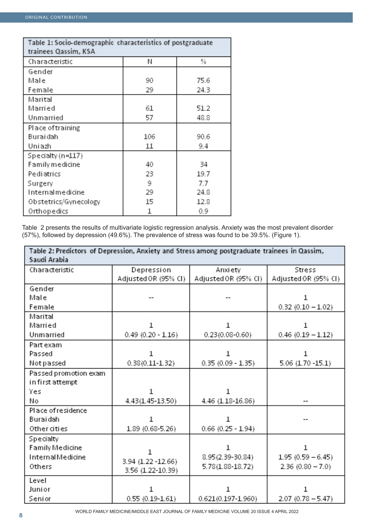| Table 1: Socio-demographic characteristics of postgraduate<br>trainees Qassim, KSA |     |      |  |
|------------------------------------------------------------------------------------|-----|------|--|
| Characteristic                                                                     | Μ   | %    |  |
| Gender                                                                             |     |      |  |
| Male                                                                               | 90  | 75.6 |  |
| Female                                                                             | 29  | 24.3 |  |
| Marital                                                                            |     |      |  |
| Marri ed                                                                           | 61  | 51.2 |  |
| Unmarried                                                                          | 57  | 48.8 |  |
| Place of training                                                                  |     |      |  |
| Buraidah                                                                           | 106 | 90.6 |  |
| Uniazh                                                                             | 11  | 9.4  |  |
| Specialty (n=117)                                                                  |     |      |  |
| Family medicine                                                                    | 40  | 34   |  |
| Pediatrics                                                                         | 23  | 19.7 |  |
| Surgery                                                                            | 9   | 7.7  |  |
| Internalmedicine                                                                   | 29  | 24.8 |  |
| Obstetrics/Gynecology                                                              | 15  | 12.8 |  |
| Orthopedics                                                                        | 1   | 0.9  |  |

Table 2 presents the results of multivariate logistic regression analysis. Anxiety was the most prevalent disorder (57%), followed by depression (49.6%). The prevalence of stress was found to be 39.5%. (Figure 1).

| Table 2: Predictors of Depression, Anxiety and Stress among postgraduate trainees in Qassim,<br>Saudi Arabia |                      |                        |                      |  |
|--------------------------------------------------------------------------------------------------------------|----------------------|------------------------|----------------------|--|
| Characteristic                                                                                               | Depression           | Anxiety                | Stress               |  |
|                                                                                                              | Adjusted OR (95% CI) | Adjusted OR (95% CI)   | Adjusted OR (95% CI) |  |
| Gender                                                                                                       |                      |                        |                      |  |
| Male                                                                                                         |                      |                        |                      |  |
| Female                                                                                                       |                      |                        | $0.32$ (0.10 - 1.02) |  |
| Marital                                                                                                      |                      |                        |                      |  |
| Married                                                                                                      | 1                    | 1                      |                      |  |
| Unmarried                                                                                                    | $0.49$ (0.20 - 1.16) | $0.23(0.08 - 0.60)$    | $0.46$ (0.19 - 1.12) |  |
| Part exam                                                                                                    |                      |                        |                      |  |
| Passed                                                                                                       | 1                    | 1                      |                      |  |
| Notpassed                                                                                                    | $0.38(0.11 - 1.32)$  | $0.35(0.09 - 1.35)$    | 5.06 (1.70 - 15.1)   |  |
| Passed promotion exam                                                                                        |                      |                        |                      |  |
| in first attempt                                                                                             |                      |                        |                      |  |
| Yes                                                                                                          |                      |                        |                      |  |
| No                                                                                                           | 4.43(1.45-13.50)     | 4.46 (1.18-16.86)      |                      |  |
| Place of residence                                                                                           |                      |                        |                      |  |
| Buraidah                                                                                                     |                      | 1                      |                      |  |
| Other cities                                                                                                 | 1.89 (0.68-5.26)     | $0.66$ (0.25 - 1.94)   |                      |  |
| Specialty                                                                                                    |                      |                        |                      |  |
| <b>Family Medicine</b>                                                                                       | 1                    | 1                      | 1                    |  |
| <b>InternalMedicine</b>                                                                                      | 3.94 (1.22 - 12.66)  | 8.95 (2.39-30.84)      | $1.95(0.59 - 6.45)$  |  |
| Others                                                                                                       | 3.56 (1.22-10.39)    | $5.78(1.88 - 18.72)$   | $2.36(0.80 - 7.0)$   |  |
| Level                                                                                                        |                      |                        |                      |  |
| Junior                                                                                                       |                      | 1                      |                      |  |
| Senior                                                                                                       | $0.55(0.19 - 1.61)$  | $0.621(0.197 - 1.960)$ | $2.07(0.78 - 5.47)$  |  |

WORLD FAMILY MEDICINE/MIDDLE EAST JOURNAL OF FAMILY MEDICINE VOLUME 20 ISSUE 4 APRIL 2022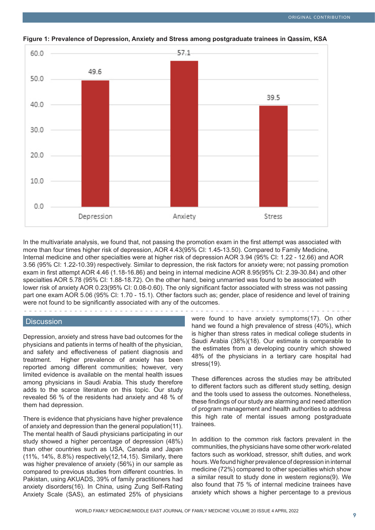

**Figure 1: Prevalence of Depression, Anxiety and Stress among postgraduate trainees in Qassim, KSA**

In the multivariate analysis, we found that, not passing the promotion exam in the first attempt was associated with more than four times higher risk of depression, AOR 4.43(95% CI: 1.45-13.50). Compared to Family Medicine, Internal medicine and other specialties were at higher risk of depression AOR 3.94 (95% CI: 1.22 - 12.66) and AOR 3.56 (95% CI: 1.22-10.39) respectively. Similar to depression, the risk factors for anxiety were; not passing promotion exam in first attempt AOR 4.46 (1.18-16.86) and being in internal medicine AOR 8.95(95% CI: 2.39-30.84) and other specialties AOR 5.78 (95% CI: 1.88-18.72). On the other hand, being unmarried was found to be associated with lower risk of anxiety AOR 0.23(95% CI: 0.08-0.60). The only significant factor associated with stress was not passing part one exam AOR 5.06 (95% CI: 1.70 - 15.1). Other factors such as; gender, place of residence and level of training were not found to be significantly associated with any of the outcomes.

stress(19).

#### **Discussion**

Depression, anxiety and stress have bad outcomes for the physicians and patients in terms of health of the physician, and safety and effectiveness of patient diagnosis and treatment. Higher prevalence of anxiety has been reported among different communities; however, very limited evidence is available on the mental health issues among physicians in Saudi Arabia. This study therefore adds to the scarce literature on this topic. Our study revealed 56 % of the residents had anxiety and 48 % of them had depression.

There is evidence that physicians have higher prevalence of anxiety and depression than the general population(11). The mental health of Saudi physicians participating in our study showed a higher percentage of depression (48%) than other countries such as USA, Canada and Japan (11%, 14%, 8.8%) respectively(12,14,15). Similarly, there was higher prevalence of anxiety (56%) in our sample as compared to previous studies from different countries. In Pakistan, using AKUADS, 39% of family practitioners had anxiety disorders(16). In China, using Zung Self-Rating Anxiety Scale (SAS), an estimated 25% of physicians were found to have anxiety symptoms(17). On other hand we found a high prevalence of stress (40%), which is higher than stress rates in medical college students in Saudi Arabia (38%)(18). Our estimate is comparable to the estimates from a developing country which showed

48% of the physicians in a tertiary care hospital had

These differences across the studies may be attributed to different factors such as different study setting, design and the tools used to assess the outcomes. Nonetheless, these findings of our study are alarming and need attention of program management and health authorities to address this high rate of mental issues among postgraduate trainees.

In addition to the common risk factors prevalent in the communities, the physicians have some other work-related factors such as workload, stressor, shift duties, and work hours. We found higher prevalence of depression in internal medicine (72%) compared to other specialties which show a similar result to study done in western regions(9). We also found that 75 % of internal medicine trainees have anxiety which shows a higher percentage to a previous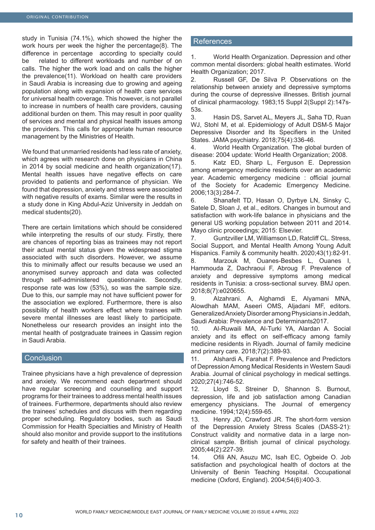study in Tunisia (74.1%), which showed the higher the work hours per week the higher the percentage(8). The difference in percentage according to specialty could be related to different workloads and number of on calls. The higher the work load and on calls the higher the prevalence(11). Workload on health care providers in Saudi Arabia is increasing due to growing and ageing population along with expansion of health care services for universal health coverage. This however, is not parallel to increase in numbers of health care providers, causing additional burden on them. This may result in poor quality of services and mental and physical health issues among the providers. This calls for appropriate human resource management by the Ministries of Health.

We found that unmarried residents had less rate of anxiety, which agrees with research done on physicians in China in 2014 by social medicine and health organization(17). Mental health issues have negative effects on care provided to patients and performance of physician. We found that depression, anxiety and stress were associated with negative results of exams. Similar were the results in a study done in King Abdul-Aziz University in Jeddah on medical students(20).

There are certain limitations which should be considered while interpreting the results of our study. Firstly, there are chances of reporting bias as trainees may not report their actual mental status given the widespread stigma associated with such disorders. However, we assume this to minimally affect our results because we used an anonymised survey approach and data was collected through self-administered questionnaire. Secondly, response rate was low (53%), so was the sample size. Due to this, our sample may not have sufficient power for the association we explored. Furthermore, there is also possibility of health workers effect where trainees with severe mental illnesses are least likely to participate. Nonetheless our research provides an insight into the mental health of postgraduate trainees in Qassim region in Saudi Arabia.

#### **Conclusion**

Trainee physicians have a high prevalence of depression and anxiety. We recommend each department should have regular screening and counselling and support programs for their trainees to address mental health issues of trainees. Furthermore, departments should also review the trainees' schedules and discuss with them regarding proper scheduling. Regulatory bodies, such as Saudi Commission for Health Specialties and Ministry of Health should also monitor and provide support to the institutions for safety and health of their trainees.

## References

1. World Health Organization. Depression and other common mental disorders: global health estimates. World Health Organization; 2017.

2. Russell GF, De Silva P. Observations on the relationship between anxiety and depressive symptoms during the course of depressive illnesses. British journal of clinical pharmacology. 1983;15 Suppl 2(Suppl 2):147s-53s.

3. Hasin DS, Sarvet AL, Meyers JL, Saha TD, Ruan WJ, Stohl M, et al. Epidemiology of Adult DSM-5 Major Depressive Disorder and Its Specifiers in the United States. JAMA psychiatry. 2018;75(4):336-46.

4. World Health Organization. The global burden of disease: 2004 update: World Health Organization; 2008.

5. Katz ED, Sharp L, Ferguson E. Depression among emergency medicine residents over an academic year. Academic emergency medicine : official journal of the Society for Academic Emergency Medicine. 2006;13(3):284-7.

6. Shanafelt TD, Hasan O, Dyrbye LN, Sinsky C, Satele D, Sloan J, et al., editors. Changes in burnout and satisfaction with work-life balance in physicians and the general US working population between 2011 and 2014. Mayo clinic proceedings; 2015: Elsevier.

7. Guntzviller LM, Williamson LD, Ratcliff CL. Stress, Social Support, and Mental Health Among Young Adult Hispanics. Family & community health. 2020;43(1):82-91. 8. Marzouk M, Ouanes-Besbes L, Ouanes I, Hammouda Z, Dachraoui F, Abroug F. Prevalence of anxiety and depressive symptoms among medical residents in Tunisia: a cross-sectional survey. BMJ open. 2018;8(7):e020655.

9. Alzahrani. A, Alghamdi E, Alyamani MNA, Alowdhah MAM, Aseeri OMS, Aljadani MF, editors. Generalized Anxiety Disorder among Physicians in Jeddah, Saudi Arabia: Prevalence and Determinants2017.

10. Al-Ruwaili MA, Al-Turki YA, Alardan A. Social anxiety and its effect on self-efficacy among family medicine residents in Riyadh. Journal of family medicine and primary care. 2018;7(2):389-93.

11. Alshardi A, Farahat F. Prevalence and Predictors of Depression Among Medical Residents in Western Saudi Arabia. Journal of clinical psychology in medical settings. 2020;27(4):746-52.

12. Lloyd S, Streiner D, Shannon S. Burnout, depression, life and job satisfaction among Canadian emergency physicians. The Journal of emergency medicine. 1994;12(4):559-65.

13. Henry JD, Crawford JR. The short-form version of the Depression Anxiety Stress Scales (DASS-21): Construct validity and normative data in a large nonclinical sample. British journal of clinical psychology. 2005;44(2):227-39.

14. Ofili AN, Asuzu MC, Isah EC, Ogbeide O. Job satisfaction and psychological health of doctors at the University of Benin Teaching Hospital. Occupational medicine (Oxford, England). 2004;54(6):400-3.